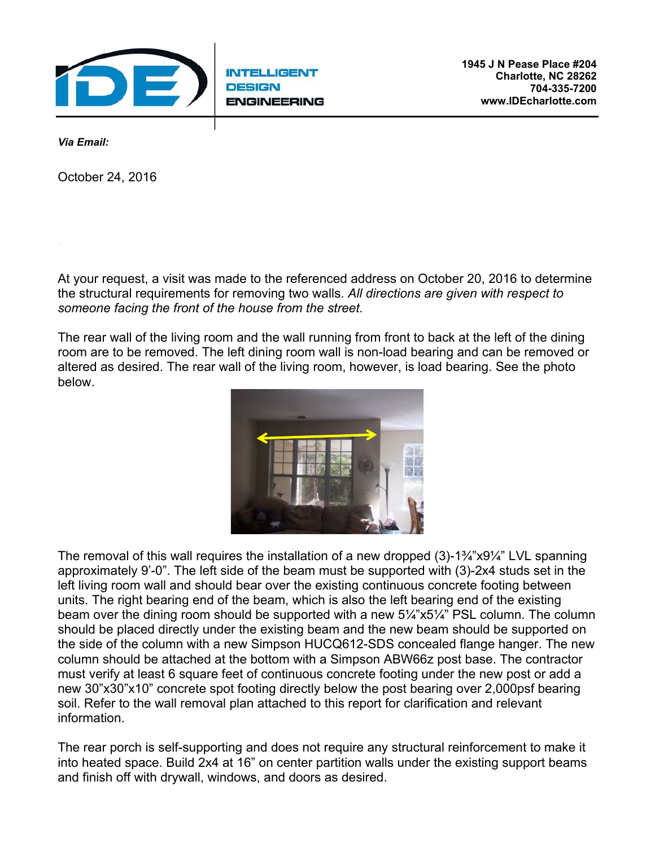

**INTELLIGENT DESIGN ENGINEERING** 

*Via Email:* 

October 24, 2016

ATTN: Ben Morch

At your request, a visit was made to the referenced address on October 20, 2016 to determine the structural requirements for removing two walls. *All directions are given with respect to someone facing the front of the house from the street.*

The rear wall of the living room and the wall running from front to back at the left of the dining room are to be removed. The left dining room wall is non-load bearing and can be removed or altered as desired. The rear wall of the living room, however, is load bearing. See the photo below.



The removal of this wall requires the installation of a new dropped (3)-1¾"x9¼" LVL spanning approximately 9'-0". The left side of the beam must be supported with (3)-2x4 studs set in the left living room wall and should bear over the existing continuous concrete footing between units. The right bearing end of the beam, which is also the left bearing end of the existing beam over the dining room should be supported with a new 5¼"x5¼" PSL column. The column should be placed directly under the existing beam and the new beam should be supported on the side of the column with a new Simpson HUCQ612-SDS concealed flange hanger. The new column should be attached at the bottom with a Simpson ABW66z post base. The contractor must verify at least 6 square feet of continuous concrete footing under the new post or add a new 30"x30"x10" concrete spot footing directly below the post bearing over 2,000psf bearing soil. Refer to the wall removal plan attached to this report for clarification and relevant information.

The rear porch is self-supporting and does not require any structural reinforcement to make it into heated space. Build 2x4 at 16" on center partition walls under the existing support beams and finish off with drywall, windows, and doors as desired.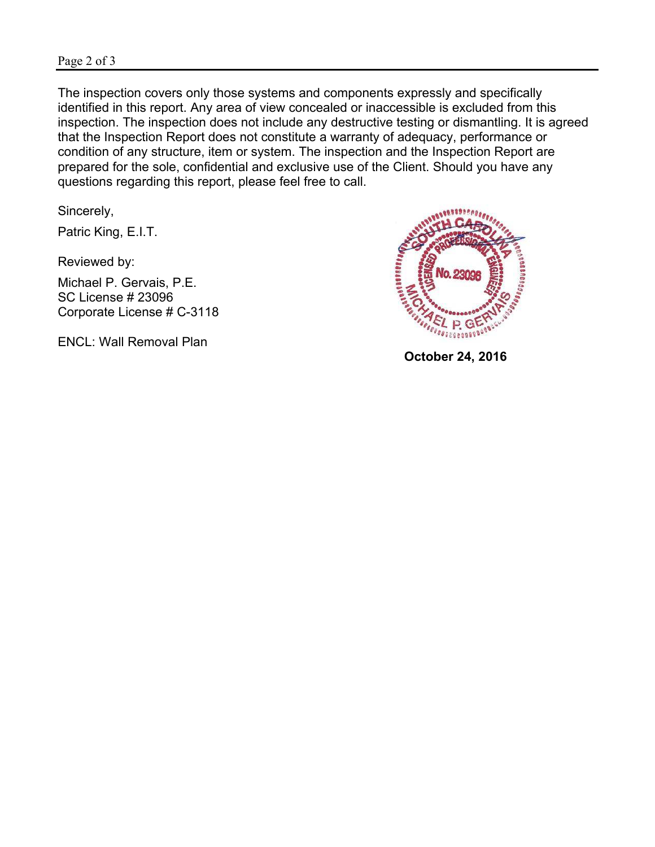The inspection covers only those systems and components expressly and specifically identified in this report. Any area of view concealed or inaccessible is excluded from this inspection. The inspection does not include any destructive testing or dismantling. It is agreed that the Inspection Report does not constitute a warranty of adequacy, performance or condition of any structure, item or system. The inspection and the Inspection Report are prepared for the sole, confidential and exclusive use of the Client. Should you have any questions regarding this report, please feel free to call.

Sincerely,

Patric King, E.I.T.

Reviewed by:

Michael P. Gervais, P.E. SC License # 23096 Corporate License # C-3118

ENCL: Wall Removal Plan



 **October 24, 2016**